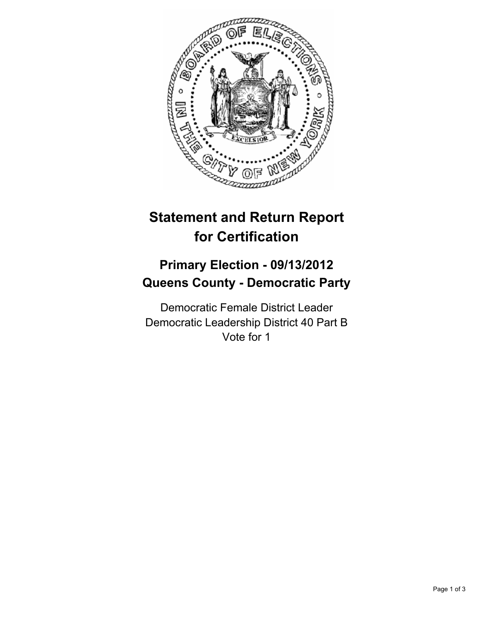

# **Statement and Return Report for Certification**

## **Primary Election - 09/13/2012 Queens County - Democratic Party**

Democratic Female District Leader Democratic Leadership District 40 Part B Vote for 1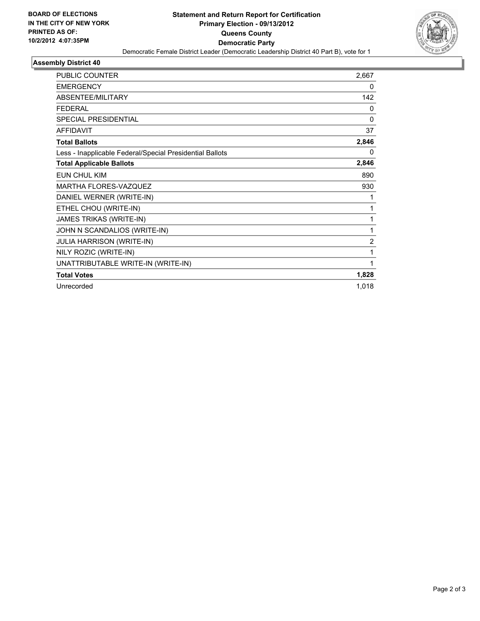

## **Assembly District 40**

| <b>PUBLIC COUNTER</b>                                    | 2,667          |
|----------------------------------------------------------|----------------|
| <b>EMERGENCY</b>                                         | 0              |
| ABSENTEE/MILITARY                                        | 142            |
| <b>FEDERAL</b>                                           | 0              |
| SPECIAL PRESIDENTIAL                                     | $\mathbf{0}$   |
| <b>AFFIDAVIT</b>                                         | 37             |
| <b>Total Ballots</b>                                     | 2,846          |
| Less - Inapplicable Federal/Special Presidential Ballots | 0              |
| <b>Total Applicable Ballots</b>                          | 2,846          |
| <b>EUN CHUL KIM</b>                                      | 890            |
| MARTHA FLORES-VAZQUEZ                                    | 930            |
| DANIEL WERNER (WRITE-IN)                                 | 1              |
| ETHEL CHOU (WRITE-IN)                                    | 1              |
| JAMES TRIKAS (WRITE-IN)                                  | 1              |
| JOHN N SCANDALIOS (WRITE-IN)                             | 1              |
| <b>JULIA HARRISON (WRITE-IN)</b>                         | $\overline{2}$ |
| NILY ROZIC (WRITE-IN)                                    | 1              |
| UNATTRIBUTABLE WRITE-IN (WRITE-IN)                       | 1              |
| <b>Total Votes</b>                                       | 1,828          |
| Unrecorded                                               | 1,018          |